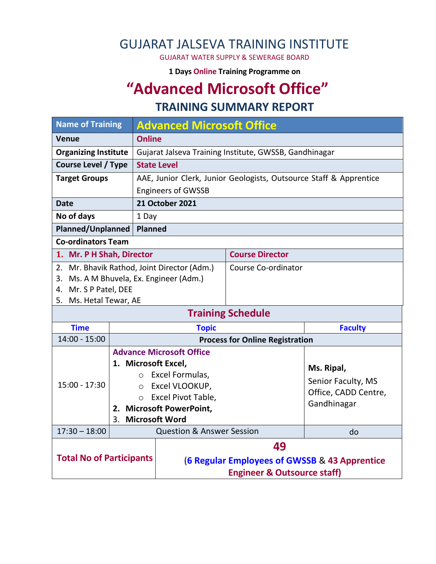## GUJARAT JALSEVA TRAINING INSTITUTE

GUJARAT WATER SUPPLY & SEWERAGE BOARD

**1 Days Online Training Programme on** 

# **"Advanced Microsoft Office"**

#### **TRAINING SUMMARY REPORT**

| <b>Name of Training</b>                         |                                                                                 | <b>Advanced Microsoft Office</b>                                   |                                               |                                            |                |  |  |
|-------------------------------------------------|---------------------------------------------------------------------------------|--------------------------------------------------------------------|-----------------------------------------------|--------------------------------------------|----------------|--|--|
| <b>Venue</b>                                    |                                                                                 | <b>Online</b>                                                      |                                               |                                            |                |  |  |
| <b>Organizing Institute</b>                     |                                                                                 | Gujarat Jalseva Training Institute, GWSSB, Gandhinagar             |                                               |                                            |                |  |  |
| <b>Course Level / Type</b>                      |                                                                                 | <b>State Level</b>                                                 |                                               |                                            |                |  |  |
| <b>Target Groups</b>                            |                                                                                 | AAE, Junior Clerk, Junior Geologists, Outsource Staff & Apprentice |                                               |                                            |                |  |  |
|                                                 |                                                                                 | <b>Engineers of GWSSB</b>                                          |                                               |                                            |                |  |  |
| <b>Date</b>                                     |                                                                                 |                                                                    | <b>21 October 2021</b>                        |                                            |                |  |  |
| No of days                                      |                                                                                 | 1 Day                                                              |                                               |                                            |                |  |  |
| <b>Planned/Unplanned</b>                        |                                                                                 |                                                                    | Planned                                       |                                            |                |  |  |
| <b>Co-ordinators Team</b>                       |                                                                                 |                                                                    |                                               |                                            |                |  |  |
| 1. Mr. P H Shah, Director                       |                                                                                 |                                                                    |                                               | <b>Course Director</b>                     |                |  |  |
| 2. Mr. Bhavik Rathod, Joint Director (Adm.)     |                                                                                 |                                                                    |                                               | Course Co-ordinator                        |                |  |  |
| 3. Ms. A M Bhuvela, Ex. Engineer (Adm.)         |                                                                                 |                                                                    |                                               |                                            |                |  |  |
| 4. Mr. S P Patel, DEE<br>5. Ms. Hetal Tewar, AE |                                                                                 |                                                                    |                                               |                                            |                |  |  |
|                                                 |                                                                                 |                                                                    |                                               | <b>Training Schedule</b>                   |                |  |  |
| <b>Time</b>                                     |                                                                                 |                                                                    | <b>Topic</b>                                  |                                            | <b>Faculty</b> |  |  |
| $14:00 - 15:00$                                 |                                                                                 |                                                                    |                                               | <b>Process for Online Registration</b>     |                |  |  |
|                                                 |                                                                                 | <b>Advance Microsoft Office</b>                                    |                                               |                                            |                |  |  |
|                                                 |                                                                                 |                                                                    | 1. Microsoft Excel,                           | Ms. Ripal,                                 |                |  |  |
|                                                 |                                                                                 | $\circ$                                                            | Excel Formulas,                               |                                            |                |  |  |
| $15:00 - 17:30$                                 |                                                                                 | $\circ$                                                            | Excel VLOOKUP,                                | Senior Faculty, MS<br>Office, CADD Centre, |                |  |  |
|                                                 |                                                                                 | $\circ$                                                            | Excel Pivot Table,                            | Gandhinagar                                |                |  |  |
|                                                 |                                                                                 |                                                                    | 2. Microsoft PowerPoint,                      |                                            |                |  |  |
| $17:30 - 18:00$                                 | <b>Microsoft Word</b><br>3 <sub>1</sub><br><b>Question &amp; Answer Session</b> |                                                                    |                                               |                                            |                |  |  |
|                                                 |                                                                                 |                                                                    |                                               |                                            | do             |  |  |
|                                                 |                                                                                 |                                                                    | 49                                            |                                            |                |  |  |
| <b>Total No of Participants</b>                 |                                                                                 |                                                                    | (6 Regular Employees of GWSSB & 43 Apprentice |                                            |                |  |  |
|                                                 |                                                                                 |                                                                    | <b>Engineer &amp; Outsource staff)</b>        |                                            |                |  |  |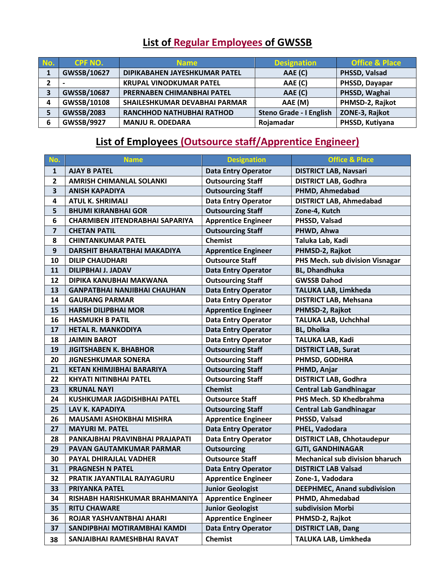### **List of Regular Employees of GWSSB**

| No. | <b>CPF NO.</b>    | <b>Name</b>                    | <b>Designation</b>      | <b>Office &amp; Place</b> |
|-----|-------------------|--------------------------------|-------------------------|---------------------------|
| 1   | GWSSB/10627       | DIPIKABAHEN JAYESHKUMAR PATEL  | AAE (C)                 | PHSSD, Valsad             |
|     |                   | <b>KRUPAL VINODKUMAR PATEL</b> | AAE (C)                 | PHSSD, Dayapar            |
|     | GWSSB/10687       | PRERNABEN CHIMANBHAI PATEL     | AAE (C)                 | PHSSD, Waghai             |
| Δ   | GWSSB/10108       | SHAILESHKUMAR DEVABHAI PARMAR  | AAE (M)                 | PHMSD-2, Rajkot           |
|     | <b>GWSSB/2083</b> | RANCHHOD NATHUBHAI RATHOD      | Steno Grade - I English | ZONE-3, Rajkot            |
| 6   | <b>GWSSB/9927</b> | <b>MANJU R. ODEDARA</b>        | Rojamadar               | PHSSD, Kutiyana           |

### **List of Employees (Outsource staff/Apprentice Engineer)**

| No.                     | <b>Name</b>                            | <b>Designation</b>         | <b>Office &amp; Place</b>              |
|-------------------------|----------------------------------------|----------------------------|----------------------------------------|
| $\mathbf{1}$            | <b>AJAY B PATEL</b>                    | <b>Data Entry Operator</b> | <b>DISTRICT LAB, Navsari</b>           |
| $\mathbf{2}$            | <b>AMRISH CHIMANLAL SOLANKI</b>        | <b>Outsourcing Staff</b>   | <b>DISTRICT LAB, Godhra</b>            |
| 3                       | <b>ANISH KAPADIYA</b>                  | <b>Outsourcing Staff</b>   | PHMD, Ahmedabad                        |
| 4                       | <b>ATUL K. SHRIMALI</b>                | <b>Data Entry Operator</b> | <b>DISTRICT LAB, Ahmedabad</b>         |
| 5                       | <b>BHUMI KIRANBHAI GOR</b>             | <b>Outsourcing Staff</b>   | Zone-4, Kutch                          |
| 6                       | <b>CHARMIBEN JITENDRABHAI SAPARIYA</b> | <b>Apprentice Engineer</b> | PHSSD, Valsad                          |
| $\overline{\mathbf{z}}$ | <b>CHETAN PATIL</b>                    | <b>Outsourcing Staff</b>   | PHWD, Ahwa                             |
| 8                       | <b>CHINTANKUMAR PATEL</b>              | <b>Chemist</b>             | Taluka Lab, Kadi                       |
| 9                       | DARSHIT BHARATBHAI MAKADIYA            | <b>Apprentice Engineer</b> | PHMSD-2, Rajkot                        |
| 10                      | <b>DILIP CHAUDHARI</b>                 | <b>Outsource Staff</b>     | PHS Mech. sub division Visnagar        |
| 11                      | <b>DILIPBHAI J. JADAV</b>              | <b>Data Entry Operator</b> | <b>BL, Dhandhuka</b>                   |
| 12                      | DIPIKA KANUBHAI MAKWANA                | <b>Outsourcing Staff</b>   | <b>GWSSB Dahod</b>                     |
| 13                      | <b>GANPATBHAI NANJIBHAI CHAUHAN</b>    | <b>Data Entry Operator</b> | TALUKA LAB, Limkheda                   |
| 14                      | <b>GAURANG PARMAR</b>                  | <b>Data Entry Operator</b> | <b>DISTRICT LAB, Mehsana</b>           |
| 15                      | <b>HARSH DILIPBHAI MOR</b>             | <b>Apprentice Engineer</b> | PHMSD-2, Rajkot                        |
| 16                      | <b>HASMUKH B PATIL</b>                 | <b>Data Entry Operator</b> | TALUKA LAB, Uchchhal                   |
| 17                      | <b>HETAL R. MANKODIYA</b>              | <b>Data Entry Operator</b> | <b>BL, Dholka</b>                      |
| 18                      | <b>JAIMIN BAROT</b>                    | <b>Data Entry Operator</b> | TALUKA LAB, Kadi                       |
| 19                      | <b>JIGITSHABEN K. BHABHOR</b>          | <b>Outsourcing Staff</b>   | <b>DISTRICT LAB, Surat</b>             |
| 20                      | <b>JIGNESHKUMAR SONERA</b>             | <b>Outsourcing Staff</b>   | <b>PHMSD, GODHRA</b>                   |
| 21                      | KETAN KHIMJIBHAI BARARIYA              | <b>Outsourcing Staff</b>   | PHMD, Anjar                            |
| 22                      | <b>KHYATI NITINBHAI PATEL</b>          | <b>Outsourcing Staff</b>   | <b>DISTRICT LAB, Godhra</b>            |
| 23                      | <b>KRUNAL NAYI</b>                     | <b>Chemist</b>             | <b>Central Lab Gandhinagar</b>         |
| 24                      | KUSHKUMAR JAGDISHBHAI PATEL            | <b>Outsource Staff</b>     | PHS Mech. SD Khedbrahma                |
| 25                      | LAV K. KAPADIYA                        | <b>Outsourcing Staff</b>   | <b>Central Lab Gandhinagar</b>         |
| 26                      | <b>MAUSAMI ASHOKBHAI MISHRA</b>        | <b>Apprentice Engineer</b> | PHSSD, Valsad                          |
| 27                      | <b>MAYURI M. PATEL</b>                 | <b>Data Entry Operator</b> | PHEL, Vadodara                         |
| 28                      | PANKAJBHAI PRAVINBHAI PRAJAPATI        | <b>Data Entry Operator</b> | <b>DISTRICT LAB, Chhotaudepur</b>      |
| 29                      | PAVAN GAUTAMKUMAR PARMAR               | <b>Outsourcing</b>         | <b>GJTI, GANDHINAGAR</b>               |
| 30                      | <b>PAYAL DHIRAJLAL VADHER</b>          | <b>Outsource Staff</b>     | <b>Mechanical sub division bharuch</b> |
| 31                      | <b>PRAGNESH N PATEL</b>                | <b>Data Entry Operator</b> | <b>DISTRICT LAB Valsad</b>             |
| 32                      | PRATIK JAYANTILAL RAJYAGURU            | <b>Apprentice Engineer</b> | Zone-1, Vadodara                       |
| 33                      | <b>PRIYANKA PATEL</b>                  | <b>Junior Geologist</b>    | <b>DEEPHMEC, Anand subdivision</b>     |
| 34                      | RISHABH HARISHKUMAR BRAHMANIYA         | <b>Apprentice Engineer</b> | PHMD, Ahmedabad                        |
| 35                      | <b>RITU CHAWARE</b>                    | <b>Junior Geologist</b>    | subdivision Morbi                      |
| 36                      | ROJAR YASHVANTBHAI AHARI               | <b>Apprentice Engineer</b> | PHMSD-2, Rajkot                        |
| 37                      | SANDIPBHAI MOTIRAMBHAI KAMDI           | <b>Data Entry Operator</b> | <b>DISTRICT LAB, Dang</b>              |
| 38                      | SANJAIBHAI RAMESHBHAI RAVAT            | <b>Chemist</b>             | TALUKA LAB, Limkheda                   |